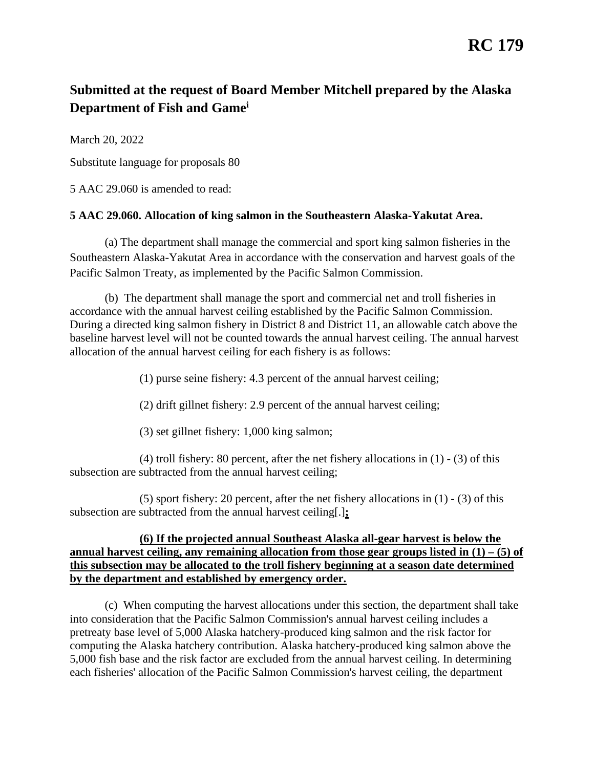## **RC 179**

## **Submitted at the request of Board Member Mitchell prepared by the Alaska Department of Fish and Gamei**

March 20, 2022

Substitute language for proposals 80

5 AAC 29.060 is amended to read:

## **[5 AAC 29.060. Allocation of king salmon in the Southeastern Alaska-Yakutat Area.](http://www.akleg.gov/basis/aac.asp#5.29.060)**

Pacific Salmon Treaty, as implemented by the Pacific Salmon Commission. (a) The department shall manage the commercial and sport king salmon fisheries in the Southeastern Alaska-Yakutat Area in accordance with the conservation and harvest goals of the

allocation of the annual harvest ceiling for each fishery is as follows:<br>(1) purse seine fishery: 4.3 percent of the annual harvest ceiling; (b) The department shall manage the sport and commercial net and troll fisheries in accordance with the annual harvest ceiling established by the Pacific Salmon Commission. During a directed king salmon fishery in District 8 and District 11, an allowable catch above the baseline harvest level will not be counted towards the annual harvest ceiling. The annual harvest

(2) drift gillnet fishery: 2.9 percent of the annual harvest ceiling;

(3) set gillnet fishery: 1,000 king salmon;

(4) troll fishery: 80 percent, after the net fishery allocations in (1) - (3) of this subsection are subtracted from the annual harvest ceiling;

 (5) sport fishery: 20 percent, after the net fishery allocations in (1) - (3) of this subsection are subtracted from the annual harvest ceiling[.]**;** 

## **annual harvest ceiling, any remaining allocation from those gear groups listed in (1) – (5) of (6) If the projected annual Southeast Alaska all-gear harvest is below the this subsection may be allocated to the troll fishery beginning at a season date determined by the department and established by emergency order.**

(c) When computing the harvest allocations under this section, the department shall take into consideration that the Pacific Salmon Commission's annual harvest ceiling includes a pretreaty base level of 5,000 Alaska hatchery-produced king salmon and the risk factor for computing the Alaska hatchery contribution. Alaska hatchery-produced king salmon above the 5,000 fish base and the risk factor are excluded from the annual harvest ceiling. In determining each fisheries' allocation of the Pacific Salmon Commission's harvest ceiling, the department